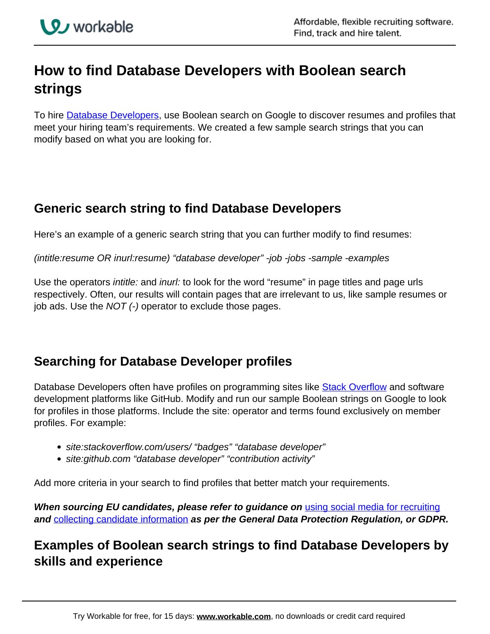

# **How to find Database Developers with Boolean search strings**

To hire **Database Developers**, use Boolean search on Google to discover resumes and profiles that meet your hiring team's requirements. We created a few sample search strings that you can modify based on what you are looking for.

# **Generic search string to find Database Developers**

Here's an example of a generic search string that you can further modify to find resumes:

(intitle:resume OR inurl:resume) "database developer" -job -jobs -sample -examples

Use the operators *intitle:* and *inurl:* to look for the word "resume" in page titles and page urls respectively. Often, our results will contain pages that are irrelevant to us, like sample resumes or job ads. Use the  $NOT$  (-) operator to exclude those pages.

### **Searching for Database Developer profiles**

Database Developers often have profiles on programming sites like **Stack Overflow** and software development platforms like GitHub. Modify and run our sample Boolean strings on Google to look for profiles in those platforms. Include the site: operator and terms found exclusively on member profiles. For example:

- site:stackoverflow.com/users/ "badges" "database developer"
- site: qithub.com "database developer" "contribution activity"

Add more criteria in your search to find profiles that better match your requirements.

**When sourcing EU candidates, please refer to guidance on** using social media for recruiting **and** collecting candidate information **as per the General Data Protection Regulation, or GDPR.**

# **Examples of Boolean search strings to find Database Developers by skills and experience**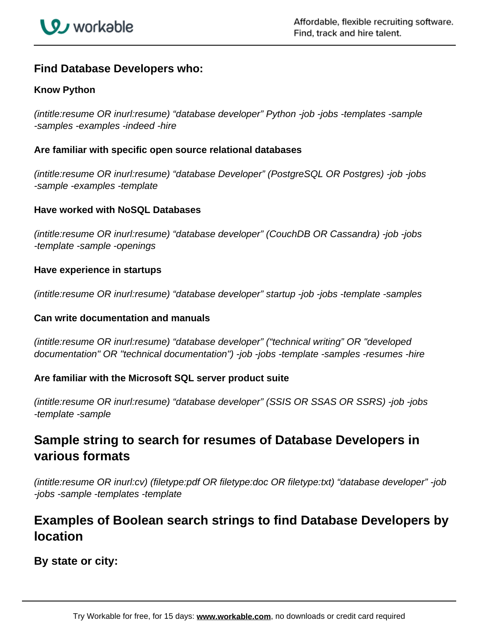

### **Find Database Developers who:**

#### **Know Python**

(intitle:resume OR inurl:resume) "database developer" Python -job -jobs -templates -sample -samples -examples -indeed -hire

#### **Are familiar with specific open source relational databases**

(intitle:resume OR inurl:resume) "database Developer" (PostgreSQL OR Postgres) -job -jobs -sample -examples -template

#### **Have worked with NoSQL Databases**

(intitle:resume OR inurl:resume) "database developer" (CouchDB OR Cassandra) -job -jobs -template -sample -openings

#### **Have experience in startups**

(intitle:resume OR inurl:resume) "database developer" startup -job -jobs -template -samples

#### **Can write documentation and manuals**

(intitle:resume OR inurl:resume) "database developer" ("technical writing" OR "developed documentation" OR "technical documentation") -job -jobs -template -samples -resumes -hire

#### **Are familiar with the Microsoft SQL server product suite**

(intitle:resume OR inurl:resume) "database developer" (SSIS OR SSAS OR SSRS) -job -jobs -template -sample

### **Sample string to search for resumes of Database Developers in various formats**

(intitle:resume OR inurl:cv) (filetype:pdf OR filetype:doc OR filetype:txt) "database developer" -job -jobs -sample -templates -template

### **Examples of Boolean search strings to find Database Developers by location**

**By state or city:**